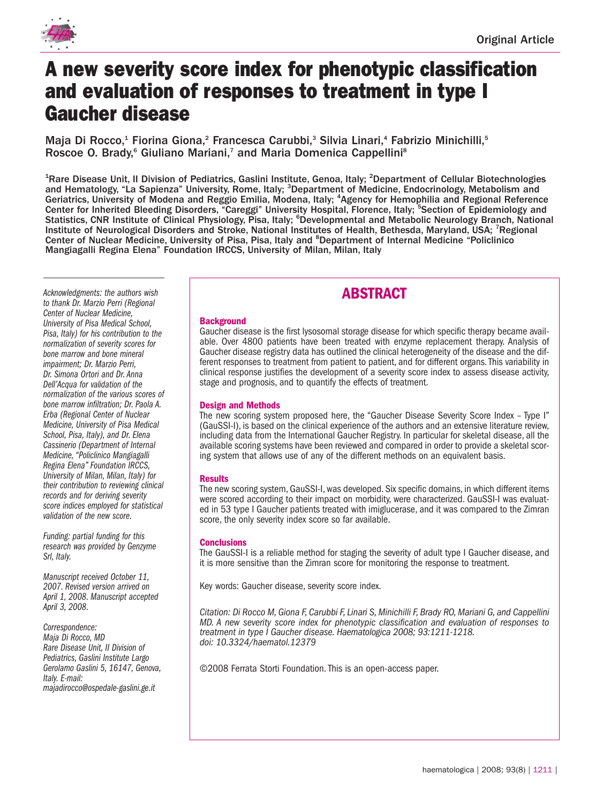

# **A new severity score index for phenotypic classification and evaluation of responses to treatment in type I Gaucher disease**

Maja Di Rocco,<sup>1</sup> Fiorina Giona,<sup>2</sup> Francesca Carubbi,<sup>3</sup> Silvia Linari,<sup>4</sup> Fabrizio Minichilli,<sup>5</sup> Roscoe O. Brady,<sup>6</sup> Giuliano Mariani,<sup>7</sup> and Maria Domenica Cappellini<sup>8</sup>

<sup>1</sup>Rare Disease Unit, Il Division of Pediatrics, Gaslini Institute, Genoa, Italy; <sup>2</sup>Department of Cellular Biotechnologies and Hematology, "La Sapienza" University, Rome, Italy; <sup>3</sup>Department of Medicine, Endocrinology, Metabolism and Geriatrics, University of Modena and Reggio Emilia, Modena, Italy; <sup>4</sup>Agency for Hemophilia and Regional Reference Center for Inherited Bleeding Disorders, "Careggi" University Hospital, Florence, Italy; <sup>5</sup>Section of Epidemiology and Statistics, CNR Institute of Clinical Physiology, Pisa, Italy; <sup>6</sup>Developmental and Metabolic Neurology Branch, National Institute of Neurological Disorders and Stroke, National Institutes of Health, Bethesda, Maryland, USA; <sup>7</sup>Regional Center of Nuclear Medicine, University of Pisa, Pisa, Italy and <sup>8</sup>Department of Internal Medicine "Policlinico Mangiagalli Regina Elena" Foundation IRCCS, University of Milan, Milan, Italy

*Acknowledgments: the authors wish to thank Dr. Marzio Perri (Regional Center of Nuclear Medicine, University of Pisa Medical School, Pisa, Italy) for his contribution to the normalization of severity scores for bone marrow and bone mineral impairment; Dr. Marzio Perri, Dr. Simona Ortori and Dr. Anna Dell'Acqua for validation of the normalization of the various scores of bone marrow infiltration; Dr. Paola A. Erba (Regional Center of Nuclear Medicine, University of Pisa Medical School, Pisa, Italy), and Dr.Elena Cassinerio (Department of Internal Medicine, "Policlinico Mangiagalli Regina Elena" Foundation IRCCS, University of Milan, Milan, Italy) for their contribution to reviewing clinical records and for deriving severity score indices employed for statistical validation of the new score.*

*Funding: partial funding for this research was provided by Genzyme Srl, Italy.*

*Manuscript received October 11, 2007. Revised version arrived on April 1, 2008. Manuscript accepted April 3, 2008.*

*Correspondence: Maja Di Rocco, MD Rare Disease Unit, II Division of Pediatrics, Gaslini Institute Largo Gerolamo Gaslini 5, 16147, Genova, Italy.E-mail: majadirocco@ospedale-gaslini.ge.it*

# **ABSTRACT**

# **Background**

Gaucher disease is the first lysosomal storage disease for which specific therapy became available. Over 4800 patients have been treated with enzyme replacement therapy. Analysis of Gaucher disease registry data has outlined the clinical heterogeneity of the disease and the different responses to treatment from patient to patient, and for different organs.This variability in clinical response justifies the development of a severity score index to assess disease activity, stage and prognosis, and to quantify the effects of treatment.

# **Design and Methods**

The new scoring system proposed here, the "Gaucher Disease Severity Score Index – Type I" (GauSSI-I), is based on the clinical experience of the authors and an extensive literature review, including data from the International Gaucher Registry. In particular for skeletal disease, all the available scoring systems have been reviewed and compared in order to provide a skeletal scoring system that allows use of any of the different methods on an equivalent basis.

# **Results**

The new scoring system, GauSSI-I, was developed. Six specific domains, in which different items were scored according to their impact on morbidity, were characterized. GauSSI-I was evaluated in 53 type I Gaucher patients treated with imiglucerase, and it was compared to the Zimran score, the only severity index score so far available.

# **Conclusions**

The GauSSI-I is a reliable method for staging the severity of adult type I Gaucher disease, and it is more sensitive than the Zimran score for monitoring the response to treatment.

Key words: Gaucher disease, severity score index.

*Citation: Di Rocco M, Giona F, Carubbi F, Linari S, Minichilli F, Brady RO, Mariani G, and Cappellini MD. A new severity score index for phenotypic classification and evaluation of responses to treatment in type I Gaucher disease. Haematologica 2008; 93:1211-1218. doi: 10.3324/haematol.12379* 

©2008 Ferrata Storti Foundation. This is an open-access paper*.*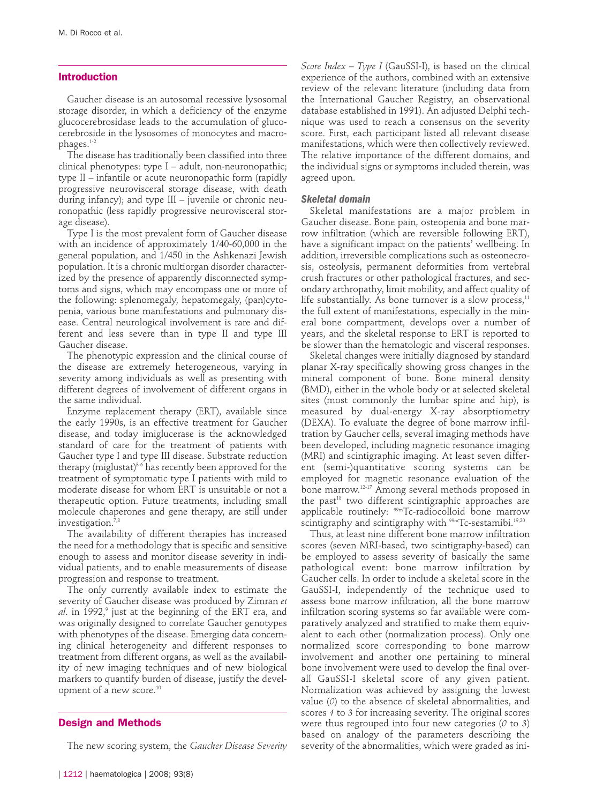#### **Introduction**

Gaucher disease is an autosomal recessive lysosomal storage disorder, in which a deficiency of the enzyme glucocerebrosidase leads to the accumulation of glucocerebroside in the lysosomes of monocytes and macrophages.1-2

The disease has traditionally been classified into three clinical phenotypes: type I – adult, non-neuronopathic; type II – infantile or acute neuronopathic form (rapidly progressive neurovisceral storage disease, with death during infancy); and type III – juvenile or chronic neuronopathic (less rapidly progressive neurovisceral storage disease).

Type I is the most prevalent form of Gaucher disease with an incidence of approximately 1/40-60,000 in the general population, and 1/450 in the Ashkenazi Jewish population. It is a chronic multiorgan disorder characterized by the presence of apparently disconnected symptoms and signs, which may encompass one or more of the following: splenomegaly, hepatomegaly, (pan)cytopenia, various bone manifestations and pulmonary disease. Central neurological involvement is rare and different and less severe than in type II and type III Gaucher disease.

The phenotypic expression and the clinical course of the disease are extremely heterogeneous, varying in severity among individuals as well as presenting with different degrees of involvement of different organs in the same individual.

Enzyme replacement therapy (ERT), available since the early 1990s, is an effective treatment for Gaucher disease, and today imiglucerase is the acknowledged standard of care for the treatment of patients with Gaucher type I and type III disease. Substrate reduction therapy (miglustat) $3-6$  has recently been approved for the treatment of symptomatic type I patients with mild to moderate disease for whom ERT is unsuitable or not a therapeutic option. Future treatments, including small molecule chaperones and gene therapy, are still under investigation.<sup>7,8</sup>

The availability of different therapies has increased the need for a methodology that is specific and sensitive enough to assess and monitor disease severity in individual patients, and to enable measurements of disease progression and response to treatment.

The only currently available index to estimate the severity of Gaucher disease was produced by Zimran *et al.* in 1992,<sup>9</sup> just at the beginning of the ERT era, and was originally designed to correlate Gaucher genotypes with phenotypes of the disease. Emerging data concerning clinical heterogeneity and different responses to treatment from different organs, as well as the availability of new imaging techniques and of new biological markers to quantify burden of disease, justify the development of a new score.<sup>10</sup>

# **Design and Methods**

The new scoring system, the *Gaucher Disease Severity*

*Score Index – Type I* (GauSSI-I), is based on the clinical experience of the authors, combined with an extensive review of the relevant literature (including data from the International Gaucher Registry, an observational database established in 1991). An adjusted Delphi technique was used to reach a consensus on the severity score. First, each participant listed all relevant disease manifestations, which were then collectively reviewed. The relative importance of the different domains, and the individual signs or symptoms included therein, was agreed upon.

#### *Skeletal domain*

Skeletal manifestations are a major problem in Gaucher disease. Bone pain, osteopenia and bone marrow infiltration (which are reversible following ERT), have a significant impact on the patients' wellbeing. In addition, irreversible complications such as osteonecrosis, osteolysis, permanent deformities from vertebral crush fractures or other pathological fractures, and secondary arthropathy, limit mobility, and affect quality of life substantially. As bone turnover is a slow process, $11$ the full extent of manifestations, especially in the mineral bone compartment, develops over a number of years, and the skeletal response to ERT is reported to be slower than the hematologic and visceral responses.

Skeletal changes were initially diagnosed by standard planar X-ray specifically showing gross changes in the mineral component of bone. Bone mineral density (BMD), either in the whole body or at selected skeletal sites (most commonly the lumbar spine and hip), is measured by dual-energy X-ray absorptiometry (DEXA). To evaluate the degree of bone marrow infiltration by Gaucher cells, several imaging methods have been developed, including magnetic resonance imaging (MRI) and scintigraphic imaging. At least seven different (semi-)quantitative scoring systems can be employed for magnetic resonance evaluation of the bone marrow.12-17 Among several methods proposed in the past<sup>18</sup> two different scintigraphic approaches are applicable routinely: 99mTc-radiocolloid bone marrow scintigraphy and scintigraphy with <sup>99m</sup>Tc-sestamibi.<sup>19,20</sup>

Thus, at least nine different bone marrow infiltration scores (seven MRI-based, two scintigraphy-based) can be employed to assess severity of basically the same pathological event: bone marrow infiltration by Gaucher cells. In order to include a skeletal score in the GauSSI-I, independently of the technique used to assess bone marrow infiltration, all the bone marrow infiltration scoring systems so far available were comparatively analyzed and stratified to make them equivalent to each other (normalization process). Only one normalized score corresponding to bone marrow involvement and another one pertaining to mineral bone involvement were used to develop the final overall GauSSI-I skeletal score of any given patient. Normalization was achieved by assigning the lowest value (*0*) to the absence of skeletal abnormalities, and scores *1* to *3* for increasing severity. The original scores were thus regrouped into four new categories (*0* to *3*) based on analogy of the parameters describing the severity of the abnormalities, which were graded as ini-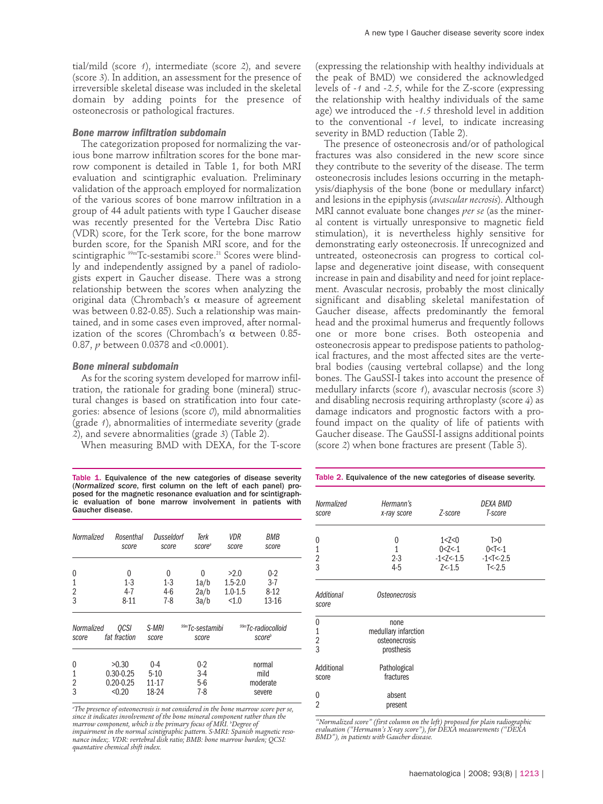#### *Bone marrow infiltration subdomain*

The categorization proposed for normalizing the various bone marrow infiltration scores for the bone marrow component is detailed in Table 1, for both MRI evaluation and scintigraphic evaluation. Preliminary validation of the approach employed for normalization of the various scores of bone marrow infiltration in a group of 44 adult patients with type I Gaucher disease was recently presented for the Vertebra Disc Ratio (VDR) score, for the Terk score, for the bone marrow burden score, for the Spanish MRI score, and for the scintigraphic<sup>99m</sup>Tc-sestamibi score.<sup>21</sup> Scores were blindly and independently assigned by a panel of radiologists expert in Gaucher disease. There was a strong relationship between the scores when analyzing the original data (Chrombach's  $\alpha$  measure of agreement was between 0.82-0.85). Such a relationship was maintained, and in some cases even improved, after normalization of the scores (Chrombach's  $\alpha$  between 0.85-0.87, *p* between 0.0378 and <0.0001).

#### *Bone mineral subdomain*

As for the scoring system developed for marrow infiltration, the rationale for grading bone (mineral) structural changes is based on stratification into four categories: absence of lesions (score *0*), mild abnormalities (grade *1*), abnormalities of intermediate severity (grade *2*), and severe abnormalities (grade *3*) (Table 2).

When measuring BMD with DEXA, for the T-score

Table 1. Equivalence of the new categories of disease severity (*Normalized score*, first column on the left of each panel) proposed for the magnetic resonance evaluation and for scintigraphic evaluation of bone marrow involvement in patients with Gaucher disease.

| Normalized     | Rosenthal          | Dusseldorf | Terk            | VDR         | BMB                |
|----------------|--------------------|------------|-----------------|-------------|--------------------|
|                | score              | score      | score®          | score       | score              |
| 0              | 0                  | 0          | 0               | >2.0        | $0 - 2$            |
| $\mathbf{1}$   | $1-3$              | $1-3$      | 1a/b            | $1.5 - 2.0$ | $3 - 7$            |
| $\overline{2}$ | $4-7$              | $4-6$      | 2a/b            | $1.0 - 1.5$ | $8-12$             |
| 3              | $8 - 11$           | 7-8        | 3a/b            | < 1.0       | $13-16$            |
| Normalized     | <i><b>OCSI</b></i> | S-MRI      | 99mTc-sestamibi |             | 99mTc-radiocolloid |
| score          | fat fraction       | score      | score           |             | score <sup>b</sup> |
| 0              | >0.30              | $0 - 4$    | $0-2$           |             | normal             |
| $\mathbf{1}$   | $0.30 - 0.25$      | $5-10$     | $3-4$           |             | mild               |
| 2              | $0.20 - 0.25$      | $11 - 17$  | $5-6$           |             | moderate           |
| 3              | < 0.20             | 18-24      | 7-8             |             | severe             |

*a The presence of osteonecrosis is not considered in the bone marrow score per se, since it indicates involvement of the bone mineral component rather than the marrow component, which is the primary focus of MRI. b Degree of impairment in the normal scintigraphic pattern. S-MRI: Spanish magnetic resonance index;. VDR: vertebral disk ratio; BMB: bone marrow burden; QCSI: quantative chemical shift index.*

(expressing the relationship with healthy individuals at the peak of BMD) we considered the acknowledged levels of *-1* and *-2.5*, while for the Z-score (expressing the relationship with healthy individuals of the same age) we introduced the *-1.5* threshold level in addition to the conventional *-1* level, to indicate increasing severity in BMD reduction (Table 2).

The presence of osteonecrosis and/or of pathological fractures was also considered in the new score since they contribute to the severity of the disease. The term osteonecrosis includes lesions occurring in the metaphysis/diaphysis of the bone (bone or medullary infarct) and lesions in the epiphysis (*avascular necrosis*). Although MRI cannot evaluate bone changes *per se* (as the mineral content is virtually unresponsive to magnetic field stimulation), it is nevertheless highly sensitive for demonstrating early osteonecrosis. If unrecognized and untreated, osteonecrosis can progress to cortical collapse and degenerative joint disease, with consequent increase in pain and disability and need for joint replacement. Avascular necrosis, probably the most clinically significant and disabling skeletal manifestation of Gaucher disease, affects predominantly the femoral head and the proximal humerus and frequently follows one or more bone crises. Both osteopenia and osteonecrosis appear to predispose patients to pathological fractures, and the most affected sites are the vertebral bodies (causing vertebral collapse) and the long bones. The GauSSI-I takes into account the presence of medullary infarcts (score *1*), avascular necrosis (score *3*) and disabling necrosis requiring arthroplasty (score *4*) as damage indicators and prognostic factors with a profound impact on the quality of life of patients with Gaucher disease. The GauSSI-I assigns additional points (score *2*) when bone fractures are present (Table 3).

|  | Table 2. Equivalence of the new categories of disease severity. |  |  |  |  |  |  |  |
|--|-----------------------------------------------------------------|--|--|--|--|--|--|--|
|--|-----------------------------------------------------------------|--|--|--|--|--|--|--|

| Normalized<br>score                      | Hermann's<br>x-ray score                                    | Z-score                                                | <b>DEXA BMD</b><br>T-score                           |  |
|------------------------------------------|-------------------------------------------------------------|--------------------------------------------------------|------------------------------------------------------|--|
| 0<br>$\mathbf{1}$<br>$\overline{a}$<br>3 | 0<br>$\mathbf{1}$<br>$2 - 3$<br>$4-5$                       | 1 < Z < 0<br>$0 < Z < -1$<br>$-1 < Z < -1.5$<br>Z<-1.5 | T>0<br>$0 < T < -1$<br>$-1 < T < -2.5$<br>$T < -2.5$ |  |
| Additional<br>score                      | <b>Osteonecrosis</b>                                        |                                                        |                                                      |  |
| 0<br>$\frac{1}{2}$                       | none<br>medullary infarction<br>osteonecrosis<br>prosthesis |                                                        |                                                      |  |
| Additional<br>score                      | Pathological<br>fractures                                   |                                                        |                                                      |  |
| 0<br>$\overline{2}$                      | absent<br>present                                           |                                                        |                                                      |  |

*"Normalized score" (first column on the left) proposed for plain radiographic evaluation ("Hermann's X-ray score"), for DEXA measurements ("DEXA BMD"), in patients with Gaucher disease.*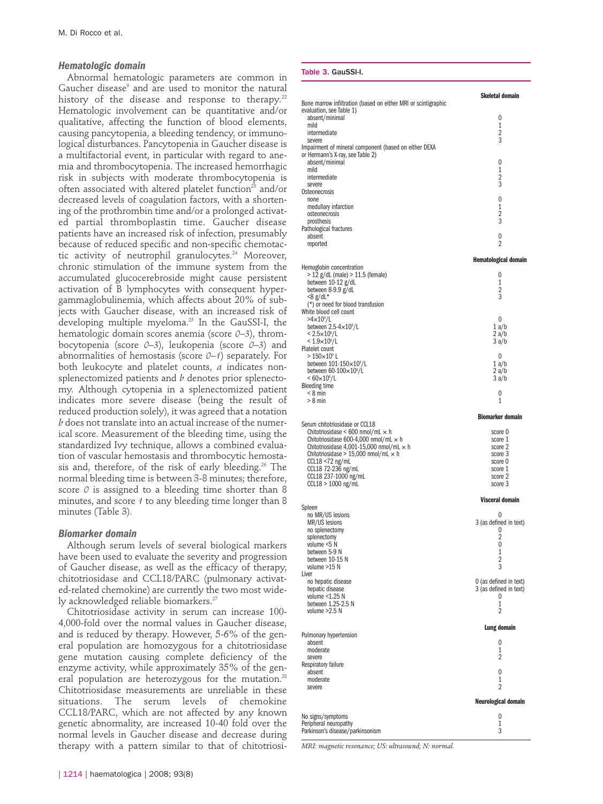#### *Hematologic domain*

Abnormal hematologic parameters are common in Gaucher disease<sup>9</sup> and are used to monitor the natural history of the disease and response to therapy.<sup>22</sup> Hematologic involvement can be quantitative and/or qualitative, affecting the function of blood elements, causing pancytopenia, a bleeding tendency, or immunological disturbances. Pancytopenia in Gaucher disease is a multifactorial event, in particular with regard to anemia and thrombocytopenia. The increased hemorrhagic risk in subjects with moderate thrombocytopenia is often associated with altered platelet function<sup>23</sup> and/or decreased levels of coagulation factors, with a shortening of the prothrombin time and/or a prolonged activated partial thromboplastin time. Gaucher disease patients have an increased risk of infection, presumably because of reduced specific and non-specific chemotactic activity of neutrophil granulocytes.<sup>24</sup> Moreover, chronic stimulation of the immune system from the accumulated glucocerebroside might cause persistent activation of B lymphocytes with consequent hypergammaglobulinemia, which affects about 20% of subjects with Gaucher disease, with an increased risk of developing multiple myeloma.<sup>25</sup> In the GauSSI-I, the hematologic domain scores anemia (score *0*–*3*), thrombocytopenia (score *0*–*3*), leukopenia (score *0*–*3*) and abnormalities of hemostasis (score *0*–*1*) separately. For both leukocyte and platelet counts, *a* indicates nonsplenectomized patients and *b* denotes prior splenectomy. Although cytopenia in a splenectomized patient indicates more severe disease (being the result of reduced production solely), it was agreed that a notation *b* does not translate into an actual increase of the numerical score. Measurement of the bleeding time, using the standardized Ivy technique, allows a combined evaluation of vascular hemostasis and thrombocytic hemostasis and, therefore, of the risk of early bleeding.<sup>26</sup> The normal bleeding time is between 3-8 minutes; therefore, score *0* is assigned to a bleeding time shorter than 8 minutes, and score *1* to any bleeding time longer than 8 minutes (Table 3).

# *Biomarker domain*

Although serum levels of several biological markers have been used to evaluate the severity and progression of Gaucher disease, as well as the efficacy of therapy, chitotriosidase and CCL18/PARC (pulmonary activated-related chemokine) are currently the two most widely acknowledged reliable biomarkers.<sup>27</sup>

Chitotriosidase activity in serum can increase 100- 4,000-fold over the normal values in Gaucher disease, and is reduced by therapy. However, 5-6% of the general population are homozygous for a chitotriosidase gene mutation causing complete deficiency of the enzyme activity, while approximately 35% of the general population are heterozygous for the mutation. $28$ Chitotriosidase measurements are unreliable in these situations. The serum levels of chemokine CCL18/PARC, which are not affected by any known genetic abnormality, are increased 10-40 fold over the normal levels in Gaucher disease and decrease during therapy with a pattern similar to that of chitotriosi-

# Table 3. GauSSI-I.

| Bone marrow infiltration (based on either MRI or scintigraphic                                 | Skeletal domain                                  |
|------------------------------------------------------------------------------------------------|--------------------------------------------------|
| evaluation, see Table 1)<br>absent/minimal                                                     | 0                                                |
| mild                                                                                           | 1                                                |
| intermediate<br>severe                                                                         | 2<br>3                                           |
| Impairment of mineral component (based on either DEXA<br>or Hermann's X-ray, see Table 2)      |                                                  |
| absent/minimal<br>mild                                                                         | 0<br>1                                           |
| intermediate                                                                                   | 2                                                |
| severe<br>Osteonecrosis                                                                        | 3                                                |
| none                                                                                           | 0                                                |
| medullary infarction<br>osteonecrosis                                                          | 1<br>$\overline{2}$                              |
| prosthesis                                                                                     | 3                                                |
| Pathological fractures<br>absent                                                               | 0                                                |
| reported                                                                                       | $\overline{2}$                                   |
|                                                                                                | Hematological domain                             |
| Hemoglobin concentration                                                                       |                                                  |
| $> 12$ g/dL (male) $> 11.5$ (female)<br>between 10-12 g/dL                                     | 0<br>1                                           |
| between 8-9.9 g/dL                                                                             | 2                                                |
| $<$ 8 g/dL*<br>(*) or need for blood transfusion                                               | 3                                                |
| White blood cell count                                                                         |                                                  |
| >4×10°/L                                                                                       | 0                                                |
| between $2.5 - 4 \times 10^9$ /L<br>$< 2.5 \times 10^9 / L$                                    | 1a/b<br>2a/b                                     |
| $<$ 1.9 $\times$ 10 $^{\circ}$ /L                                                              | 3a/b                                             |
| Platelet count<br>$>150\times10^{\circ}$ L                                                     | 0                                                |
| between 101-150×10 <sup>9</sup> /L                                                             | 1a/b                                             |
| between $60-100\times10^9$ /L<br>$< 60 \times 10^9 / L$                                        | 2a/b<br>3a/b                                     |
| <b>Bleeding time</b>                                                                           |                                                  |
| $< 8$ min<br>$> 8$ min                                                                         | 0<br>$\mathbf{1}$                                |
|                                                                                                | <b>Biomarker domain</b>                          |
| Serum chitotriosidase or CCL18<br>Chitotriosidase < 600 nmol/mL $\times$ h                     | score 0                                          |
| Chitotriosidase 600-4,000 nmol/mL $\times$ h                                                   | score 1                                          |
| Chitotriosidase 4,001-15,000 nmol/mL $\times$ h<br>Chitotriosidase > 15,000 nmol/mL $\times$ h | score 2<br>score 3                               |
| CCL18 <72 ng/mL                                                                                | score 0                                          |
| CCL18 72-236 ng/mL<br>CCL18 237-1000 ng/mL                                                     | score 1<br>score 2                               |
| CCL18 > 1000 ng/mL                                                                             | score 3                                          |
|                                                                                                | Visceral domain                                  |
| Spleen<br>no MR/US lesions                                                                     | 0                                                |
| MR/US lesions                                                                                  | 3 (as defined in text)                           |
| no splenectomy<br>splenectomy                                                                  | 0<br>2                                           |
| volume $<$ 5 N                                                                                 | 0                                                |
| between 5-9 N<br>between 10-15 N                                                               | 1<br>$\overline{2}$                              |
| volume >15 N                                                                                   | 3                                                |
| Liver                                                                                          |                                                  |
| no hepatic disease<br>hepatic disease                                                          | 0 (as defined in text)<br>3 (as defined in text) |
| volume $<$ 1.25 N<br>between 1.25-2.5 N                                                        | 0<br>1                                           |
| volume >2.5 N                                                                                  | 2                                                |
| Pulmonary hypertension                                                                         | Lung domain                                      |
| absent                                                                                         | 0                                                |
| moderate<br>severe                                                                             | $\mathbf{1}$<br>$\overline{2}$                   |
| <b>Respiratory failure</b>                                                                     |                                                  |
| absent                                                                                         | 0                                                |
| moderate<br>severe                                                                             | 1<br>$\overline{2}$                              |
|                                                                                                | Neurological domain                              |
| No signs/symptoms                                                                              | 0                                                |
| Peripheral neuropathy<br>Parkinson's disease/parkinsonism                                      | 1<br>3                                           |
|                                                                                                |                                                  |

*MRI: magnetic resonance; US: ultrasound; N: normal.*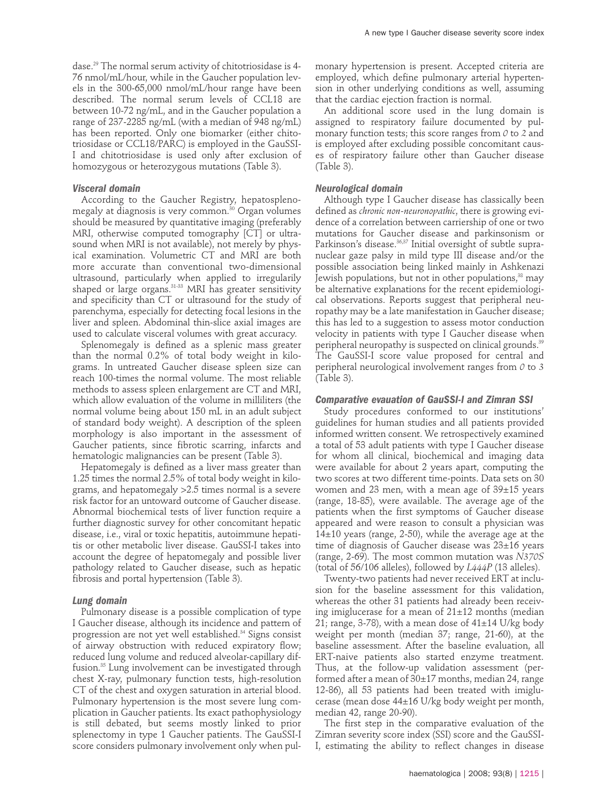dase.29 The normal serum activity of chitotriosidase is 4- 76 nmol/mL/hour, while in the Gaucher population levels in the 300-65,000 nmol/mL/hour range have been described. The normal serum levels of CCL18 are between 10-72 ng/mL, and in the Gaucher population a range of 237-2285 ng/mL (with a median of 948 ng/mL) has been reported. Only one biomarker (either chitotriosidase or CCL18/PARC) is employed in the GauSSI-I and chitotriosidase is used only after exclusion of homozygous or heterozygous mutations (Table 3).

#### *Visceral domain*

According to the Gaucher Registry, hepatosplenomegaly at diagnosis is very common.<sup>30</sup> Organ volumes should be measured by quantitative imaging (preferably MRI, otherwise computed tomography [CT] or ultrasound when MRI is not available), not merely by physical examination. Volumetric CT and MRI are both more accurate than conventional two-dimensional ultrasound, particularly when applied to irregularily shaped or large organs.<sup>31-33</sup> MRI has greater sensitivity and specificity than CT or ultrasound for the study of parenchyma, especially for detecting focal lesions in the liver and spleen. Abdominal thin-slice axial images are used to calculate visceral volumes with great accuracy.

Splenomegaly is defined as a splenic mass greater than the normal 0.2% of total body weight in kilograms. In untreated Gaucher disease spleen size can reach 100-times the normal volume. The most reliable methods to assess spleen enlargement are CT and MRI, which allow evaluation of the volume in milliliters (the normal volume being about 150 mL in an adult subject of standard body weight). A description of the spleen morphology is also important in the assessment of Gaucher patients, since fibrotic scarring, infarcts and hematologic malignancies can be present (Table 3).

Hepatomegaly is defined as a liver mass greater than 1.25 times the normal 2.5% of total body weight in kilograms, and hepatomegaly >2.5 times normal is a severe risk factor for an untoward outcome of Gaucher disease. Abnormal biochemical tests of liver function require a further diagnostic survey for other concomitant hepatic disease, i.e., viral or toxic hepatitis, autoimmune hepatitis or other metabolic liver disease. GauSSI-I takes into account the degree of hepatomegaly and possible liver pathology related to Gaucher disease, such as hepatic fibrosis and portal hypertension (Table 3).

#### *Lung domain*

Pulmonary disease is a possible complication of type I Gaucher disease, although its incidence and pattern of progression are not yet well established.34 Signs consist of airway obstruction with reduced expiratory flow; reduced lung volume and reduced alveolar-capillary diffusion.35 Lung involvement can be investigated through chest X-ray, pulmonary function tests, high-resolution CT of the chest and oxygen saturation in arterial blood. Pulmonary hypertension is the most severe lung complication in Gaucher patients. Its exact pathophysiology is still debated, but seems mostly linked to prior splenectomy in type 1 Gaucher patients. The GauSSI-I score considers pulmonary involvement only when pulmonary hypertension is present. Accepted criteria are employed, which define pulmonary arterial hypertension in other underlying conditions as well, assuming that the cardiac ejection fraction is normal.

An additional score used in the lung domain is assigned to respiratory failure documented by pulmonary function tests; this score ranges from *0* to *2* and is employed after excluding possible concomitant causes of respiratory failure other than Gaucher disease (Table 3).

#### *Neurological domain*

Although type I Gaucher disease has classically been defined as *chronic non-neuronopathic*, there is growing evidence of a correlation between carriership of one or two mutations for Gaucher disease and parkinsonism or Parkinson's disease.<sup>36,37</sup> Initial oversight of subtle supranuclear gaze palsy in mild type III disease and/or the possible association being linked mainly in Ashkenazi Jewish populations, but not in other populations,<sup>38</sup> may be alternative explanations for the recent epidemiological observations. Reports suggest that peripheral neuropathy may be a late manifestation in Gaucher disease; this has led to a suggestion to assess motor conduction velocity in patients with type I Gaucher disease when peripheral neuropathy is suspected on clinical grounds.39 The GauSSI-I score value proposed for central and peripheral neurological involvement ranges from *0* to *3* (Table 3).

#### *Comparative evauation of GauSSI-I and Zimran SSI*

Study procedures conformed to our institutions' guidelines for human studies and all patients provided informed written consent. We retrospectively examined a total of 53 adult patients with type I Gaucher disease for whom all clinical, biochemical and imaging data were available for about 2 years apart, computing the two scores at two different time-points. Data sets on 30 women and 23 men, with a mean age of 39±15 years (range, 18-85), were available. The average age of the patients when the first symptoms of Gaucher disease appeared and were reason to consult a physician was 14±10 years (range, 2-50), while the average age at the time of diagnosis of Gaucher disease was 23±16 years (range, 2-69). The most common mutation was *N370S* (total of 56/106 alleles), followed by *L444P* (13 alleles).

Twenty-two patients had never received ERT at inclusion for the baseline assessment for this validation, whereas the other 31 patients had already been receiving imiglucerase for a mean of  $21 \pm 12$  months (median 21; range, 3-78), with a mean dose of  $41\pm14$  U/kg body weight per month (median 37; range, 21-60), at the baseline assessment. After the baseline evaluation, all ERT-naive patients also started enzyme treatment. Thus, at the follow-up validation assessment (performed after a mean of 30±17 months, median 24, range 12-86), all 53 patients had been treated with imiglucerase (mean dose 44±16 U/kg body weight per month, median 42, range 20-90).

The first step in the comparative evaluation of the Zimran severity score index (SSI) score and the GauSSI-I, estimating the ability to reflect changes in disease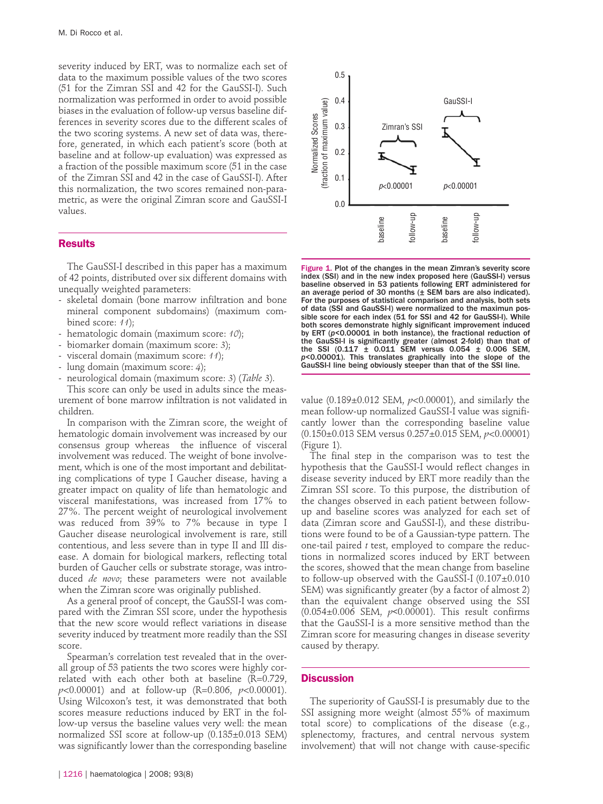severity induced by ERT, was to normalize each set of data to the maximum possible values of the two scores (51 for the Zimran SSI and 42 for the GauSSI-I). Such normalization was performed in order to avoid possible biases in the evaluation of follow-up versus baseline differences in severity scores due to the different scales of the two scoring systems. A new set of data was, therefore, generated, in which each patient's score (both at baseline and at follow-up evaluation) was expressed as a fraction of the possible maximum score (51 in the case of the Zimran SSI and 42 in the case of GauSSI-I). After this normalization, the two scores remained non-parametric, as were the original Zimran score and GauSSI-I values.

# **Results**

The GauSSI-I described in this paper has a maximum of 42 points, distributed over six different domains with unequally weighted parameters:

- skeletal domain (bone marrow infiltration and bone mineral component subdomains) (maximum combined score: *11*);
- hematologic domain (maximum score: *10*);
- biomarker domain (maximum score: *3*);
- visceral domain (maximum score: *11*);
- lung domain (maximum score: *4*);
- neurological domain (maximum score: *3*) (*Table 3*).

This score can only be used in adults since the measurement of bone marrow infiltration is not validated in children.

In comparison with the Zimran score, the weight of hematologic domain involvement was increased by our consensus group whereas the influence of visceral involvement was reduced. The weight of bone involvement, which is one of the most important and debilitating complications of type I Gaucher disease, having a greater impact on quality of life than hematologic and visceral manifestations, was increased from 17% to 27%. The percent weight of neurological involvement was reduced from 39% to 7% because in type I Gaucher disease neurological involvement is rare, still contentious, and less severe than in type II and III disease. A domain for biological markers, reflecting total burden of Gaucher cells or substrate storage, was introduced *de novo*; these parameters were not available when the Zimran score was originally published.

As a general proof of concept, the GauSSI-I was compared with the Zimran SSI score, under the hypothesis that the new score would reflect variations in disease severity induced by treatment more readily than the SSI score.

Spearman's correlation test revealed that in the overall group of 53 patients the two scores were highly correlated with each other both at baseline (R=0.729, *p*<0.00001) and at follow-up (R=0.806, *p*<0.00001). Using Wilcoxon's test, it was demonstrated that both scores measure reductions induced by ERT in the follow-up versus the baseline values very well: the mean normalized SSI score at follow-up (0.135±0.013 SEM) was significantly lower than the corresponding baseline



Figure 1. Plot of the changes in the mean Zimran's severity score index (SSI) and in the new index proposed here (GauSSI-I) versus baseline observed in 53 patients following ERT administered for an average period of 30 months (± SEM bars are also indicated). For the purposes of statistical comparison and analysis, both sets of data (SSI and GauSSI-I) were normalized to the maximun possible score for each index (51 for SSI and 42 for GauSSI-I). While both scores demonstrate highly significant improvement induced by ERT (*p*<0.00001 in both instance), the fractional reduction of the GauSSI-I is significantly greater (almost 2-fold) than that of the SSI  $(0.117 \pm 0.011$  SEM versus  $0.054 \pm 0.006$  SEM, *p*<0.00001). This translates graphically into the slope of the GauSSI-I line being obviously steeper than that of the SSI line.

value (0.189±0.012 SEM, *p*<0.00001), and similarly the mean follow-up normalized GauSSI-I value was significantly lower than the corresponding baseline value (0.150±0.013 SEM versus 0.257±0.015 SEM, *p*<0.00001) (Figure 1).

The final step in the comparison was to test the hypothesis that the GauSSI-I would reflect changes in disease severity induced by ERT more readily than the Zimran SSI score. To this purpose, the distribution of the changes observed in each patient between followup and baseline scores was analyzed for each set of data (Zimran score and GauSSI-I), and these distributions were found to be of a Gaussian-type pattern. The one-tail paired *t* test, employed to compare the reductions in normalized scores induced by ERT between the scores, showed that the mean change from baseline to follow-up observed with the GauSSI-I (0.107±0.010 SEM) was significantly greater (by a factor of almost 2) than the equivalent change observed using the SSI (0.054±0.006 SEM, *p*<0.00001). This result confirms that the GauSSI-I is a more sensitive method than the Zimran score for measuring changes in disease severity caused by therapy.

# **Discussion**

The superiority of GauSSI-I is presumably due to the SSI assigning more weight (almost 55% of maximum total score) to complications of the disease (e.g., splenectomy, fractures, and central nervous system involvement) that will not change with cause-specific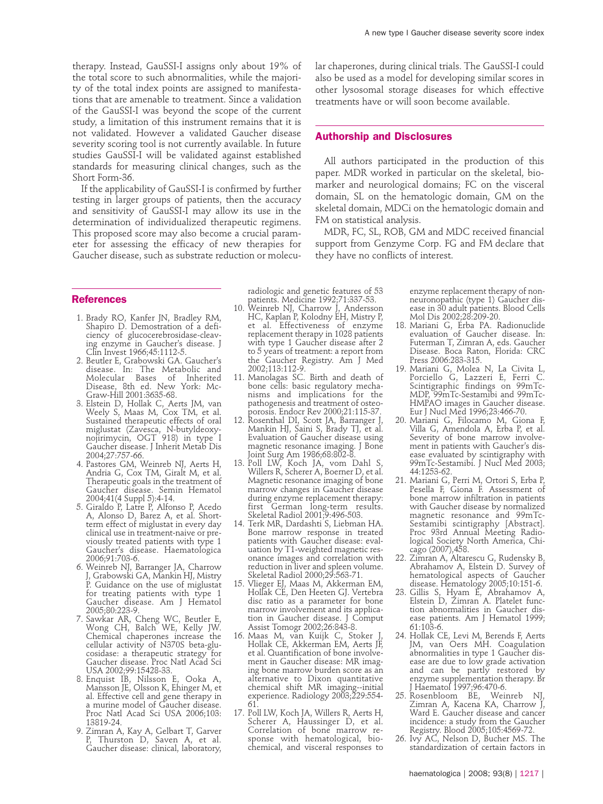therapy. Instead, GauSSI-I assigns only about 19% of the total score to such abnormalities, while the majority of the total index points are assigned to manifestations that are amenable to treatment. Since a validation of the GauSSI-I was beyond the scope of the current study, a limitation of this instrument remains that it is not validated. However a validated Gaucher disease severity scoring tool is not currently available. In future studies GauSSI-I will be validated against established standards for measuring clinical changes, such as the Short Form-36.

If the applicability of GauSSI-I is confirmed by further testing in larger groups of patients, then the accuracy and sensitivity of GauSSI-I may allow its use in the determination of individualized therapeutic regimens. This proposed score may also become a crucial parameter for assessing the efficacy of new therapies for Gaucher disease, such as substrate reduction or molecular chaperones, during clinical trials. The GauSSI-I could also be used as a model for developing similar scores in other lysosomal storage diseases for which effective treatments have or will soon become available.

# **Authorship and Disclosures**

All authors participated in the production of this paper. MDR worked in particular on the skeletal, biomarker and neurological domains; FC on the visceral domain, SL on the hematologic domain, GM on the skeletal domain, MDCi on the hematologic domain and FM on statistical analysis.

MDR, FC, SL, ROB, GM and MDC received financial support from Genzyme Corp. FG and FM declare that they have no conflicts of interest.

#### **References**

- 1. Brady RO, Kanfer JN, Bradley RM, Shapiro D. Demostration of a deficiency of glucocerebrosidase-cleaving enzyme in Gaucher's disease. J Clin Invest 1966;45:1112-5.
- 2. Beutler E, Grabowski GA. Gaucher's disease. In: The Metabolic and Molecular Bases of Inherited Disease, 8th ed. New York: Mc-Graw-Hill 2001:3635-68.
- 3. Elstein D, Hollak C, Aerts JM, van Weely S, Maas M, Cox TM, et al. Sustained therapeutic effects of oral miglustat (Zavesca, N-butyldeoxynojirimycin, OGT 918) in type I Gaucher disease. J Inherit Metab Dis 2004;27:757-66.
- 4. Pastores GM, Weinreb NJ, Aerts H, Andria G, Cox TM, Giralt M, et al. Therapeutic goals in the treatment of Gaucher disease. Semin Hematol<br>2004;41(4 Suppl 5):4-14.
- 5. Giraldo P, Latre P, Alfonso P, Acedo A, Alonso D, Barez A, et al. Shortterm effect of miglustat in every day clinical use in treatment-naive or previously treated patients with type 1 Gaucher's disease. Haematologica 2006;91:703-6.
- 6. Weinreb NJ, Barranger JA, Charrow J, Grabowski GA, Mankin HJ, Mistry P. Guidance on the use of miglustat for treating patients with type 1 Gaucher disease. Am J Hematol 2005;80:223-9.
- 7. Sawkar AR, Cheng WC, Beutler E, Wong CH, Balch WE, Kelly JW. Chemical chaperones increase the cellular activity of N370S beta-glucosidase: a therapeutic strategy for Gaucher disease. Proc Natl Acad Sci USA 2002;99:15428-33.
- 8. Enquist IB, Nilsson E, Ooka A, Mansson JE, Olsson K, Ehinger M, et al. Effective cell and gene therapy in a murine model of Gaucher disease. Proc Natl Acad Sci USA 2006;103: 13819-24.
- 9. Zimran A, Kay A, Gelbart T, Garver P, Thurston D, Saven A, et al. Gaucher disease: clinical, laboratory,

radiologic and genetic features of 53 patients. Medicine 1992;71:337-53.

- 10. Weinreb NJ, Charrow J, Andersson HC, Kaplan P, Kolodny EH, Mistry P, et al. Effectiveness of enzyme replacement therapy in 1028 patients with type 1 Gaucher disease after 2 to 5 years of treatment: a report from the Gaucher Registry. Am J Med 2002;113:112-9.
- 11. Manolagas SC. Birth and death of bone cells: basic regulatory mechanisms and implications for the pathogenesis and treatment of osteoporosis. Endocr Rev 2000;21:115-37.
- 12. Rosenthal DI, Scott JA, Barranger J, Mankin HJ, Saini S, Brady TJ, et al. Evaluation of Gaucher disease using magnetic resonance imaging. J Bone Joint Surg Am 1986;68:802-8.
- 13. Poll LW, Koch JA, vom Dahl S, Willers R, Scherer A, Boerner D, et al. Magnetic resonance imaging of bone marrow changes in Gaucher disease during enzyme replacement therapy: first German long-term results. Skeletal Radiol 2001;9:496-503.
- 14. Terk MR, Dardashti S, Liebman HA. Bone marrow response in treated patients with Gaucher disease: evaluation by T1-weighted magnetic resonance images and correlation with reduction in liver and spleen volume. Skeletal Radiol 2000;29:563-71.
- 15. Vlieger EJ, Maas M, Akkerman EM, Hollak CE, Den Heeten GJ. Vertebra disc ratio as a parameter for bone marrow involvement and its application in Gaucher disease. J Comput Assist Tomogr 2002;26:843-8.
- 16. Maas M, van Kuijk C, Stoker J, Hollak CE, Akkerman EM, Aerts JF, et al. Quantification of bone involvement in Gaucher disease: MR imaging bone marrow burden score as an alternative to Dixon quantitative chemical shift MR imaging--initial experience. Radiology 2003;229:554- 61.
- 17. Poll LW, Koch JA, Willers R, Aerts H, Scherer A, Haussinger D, et al. Correlation of bone marrow response with hematological, biochemical, and visceral responses to

enzyme replacement therapy of nonneuronopathic (type 1) Gaucher disease in 30 adult patients. Blood Cells Mol Dis 2002;28:209-20.

- 18. Mariani G, Erba PA. Radionuclide evaluation of Gaucher disease. In: Futerman T, Zimran A, eds. Gaucher Disease. Boca Raton, Florida: CRC Press 2006:283-315.
- 19. Mariani G, Molea N, La Civita L, Porciello G, Lazzeri E, Ferri C. Scintigraphic findings on 99mTc-MDP, 99mTc-Sestamibi and 99mTc-HMPAO images in Gaucher disease. Eur J Nucl Med 1996;23:466-70.
- 20. Mariani G, Filocamo M, Giona F, Villa G, Amendola A, Erba P, et al. Severity of bone marrow involvement in patients with Gaucher's disease evaluated by scintigraphy with 99mTc-Sestamibi. J Nucl Med 2003; 44:1253-62.
- 21. Mariani G, Perri M, Ortori S, Erba P, Pesella F, Giona F. Assessment of bone marrow infiltration in patients with Gaucher disease by normalized magnetic resonance and 99mTc-Sestamibi scintigraphy [Abstract]. Proc 93rd Annual Meeting Radiological Society North America, Chicago (2007),458.
- 22. Zimran A, Altarescu G, Rudensky B, Abrahamov A, Elstein D. Survey of hematological aspects of Gaucher disease. Hematology 2005;10:151-6.<br>23. Gillis S, Hyam E, Abrahamov A,
- Elstein D, Zimran A. Platelet function abnormalities in Gaucher disease patients. Am J Hematol 1999; 61:103-6.
- 24. Hollak CE, Levi M, Berends F, Aerts JM, van Oers MH. Coagulation abnormalities in type 1 Gaucher disease are due to low grade activation and can be partly restored by enzyme supplementation therapy. Br J Haematol 1997;96:470-6.
- 25. Rosenbloom BE, Weinreb NJ, Zimran A, Kacena KA, Charrow J, Ward E. Gaucher disease and cancer incidence: a study from the Gaucher Registry. Blood 2005;105:4569-72. 26. Ivy AC, Nelson D, Bucher MS. The
- standardization of certain factors in